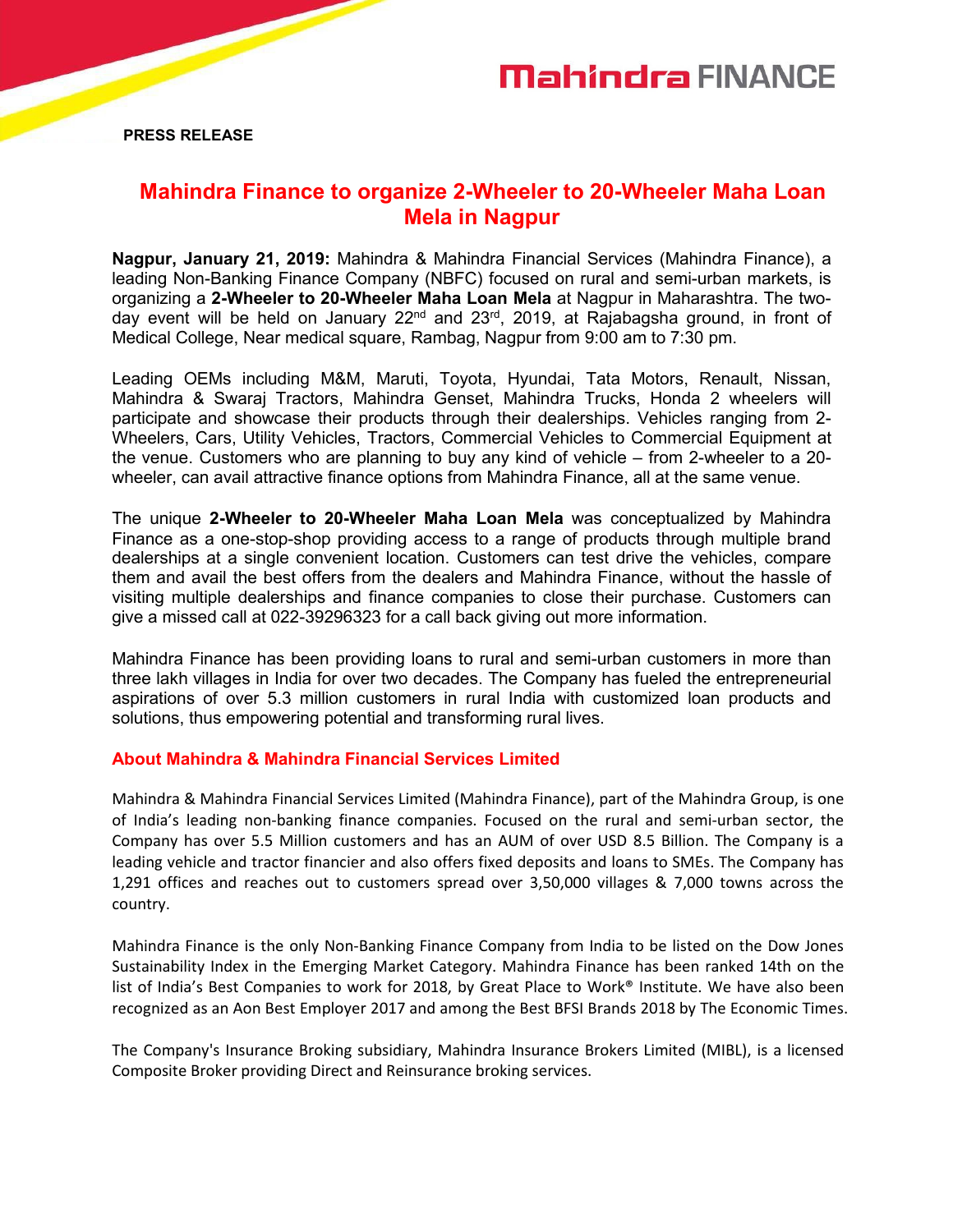

**PRESS RELEASE**

## **Mahindra Finance to organize 2-Wheeler to 20-Wheeler Maha Loan Mela in Nagpur**

**Nagpur, January 21, 2019:** Mahindra & Mahindra Financial Services (Mahindra Finance), a leading Non-Banking Finance Company (NBFC) focused on rural and semi-urban markets, is organizing a **2-Wheeler to 20-Wheeler Maha Loan Mela** at Nagpur in Maharashtra. The twoday event will be held on January 22<sup>nd</sup> and 23<sup>rd</sup>, 2019, at Rajabagsha ground, in front of Medical College, Near medical square, Rambag, Nagpur from 9:00 am to 7:30 pm.

Leading OEMs including M&M, Maruti, Toyota, Hyundai, Tata Motors, Renault, Nissan, Mahindra & Swaraj Tractors, Mahindra Genset, Mahindra Trucks, Honda 2 wheelers will participate and showcase their products through their dealerships. Vehicles ranging from 2- Wheelers, Cars, Utility Vehicles, Tractors, Commercial Vehicles to Commercial Equipment at the venue. Customers who are planning to buy any kind of vehicle – from 2-wheeler to a 20 wheeler, can avail attractive finance options from Mahindra Finance, all at the same venue.

The unique **2-Wheeler to 20-Wheeler Maha Loan Mela** was conceptualized by Mahindra Finance as a one-stop-shop providing access to a range of products through multiple brand dealerships at a single convenient location. Customers can test drive the vehicles, compare them and avail the best offers from the dealers and Mahindra Finance, without the hassle of visiting multiple dealerships and finance companies to close their purchase. Customers can give a missed call at 022-39296323 for a call back giving out more information.

Mahindra Finance has been providing loans to rural and semi-urban customers in more than three lakh villages in India for over two decades. The Company has fueled the entrepreneurial aspirations of over 5.3 million customers in rural India with customized loan products and solutions, thus empowering potential and transforming rural lives.

## **About Mahindra & Mahindra Financial Services Limited**

Mahindra & Mahindra Financial Services Limited (Mahindra Finance), part of the Mahindra Group, is one of India's leading non-banking finance companies. Focused on the ruraland semi-urban sector, the Company has over 5.5 Million customers and has an AUM of over USD 8.5 Billion. The Company is a leading vehicle and tractor financier and also offers fixed deposits and loans to SMEs. The Company has 1,291 offices and reaches out to customers spread over 3,50,000 villages & 7,000 towns across the country.

Mahindra Finance is the only Non-Banking Finance Company from India to be listed on the Dow Jones Sustainability Index in the Emerging Market Category. Mahindra Finance has been ranked 14th on the list of India's Best Companies to work for 2018, by Great Place to Work® Institute. We have also been recognized as an Aon Best Employer 2017 and among the Best BFSI Brands 2018 by The Economic Times.

The Company's Insurance Broking subsidiary, Mahindra Insurance Brokers Limited (MIBL), is a licensed Composite Broker providing Direct and Reinsurance broking services.